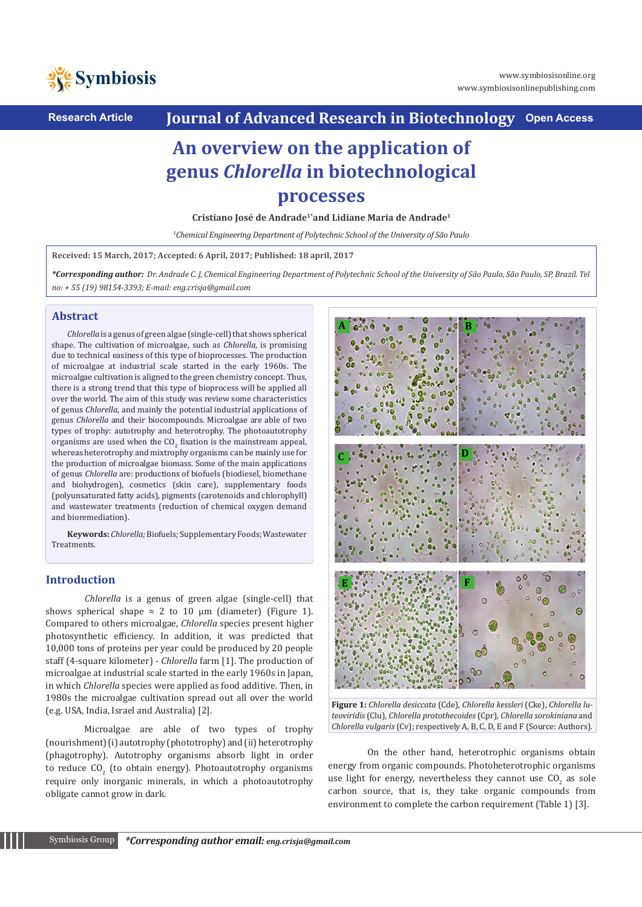

**Research Article Journal of Advanced Research in Biotechnology Open Access**

## **An overview on the application of genus** *Chlorella* **in biotechnological processes**

**Cristiano José de Andrade1\*and Lidiane Maria de Andrade1**

*1 Chemical Engineering Department of Polytechnic School of the University of São Paulo*

**Received: 15 March, 2017; Accepted: 6 April, 2017; Published: 18 april, 2017**

*\*Corresponding author: Dr. Andrade C. J, Chemical Engineering Department of Polytechnic School of the University of São Paulo, São Paulo, SP, Brazil. Tel no: + 55 (19) 98154-3393; E-mail: eng.crisja@gmail.com*

### **Abstract**

*Chlorella* is a genus of green algae (single-cell) that shows spherical shape. The cultivation of microalgae, such as *Chlorella*, is promising due to technical easiness of this type of bioprocesses. The production of microalgae at industrial scale started in the early 1960s. The microalgae cultivation is aligned to the green chemistry concept. Thus, there is a strong trend that this type of bioprocess will be applied all over the world. The aim of this study was review some characteristics of genus *Chlorella*, and mainly the potential industrial applications of genus *Chlorella* and their biocompounds. Microalgae are able of two types of trophy: autotrophy and heterotrophy. The photoautotrophy organisms are used when the CO<sub>2</sub> fixation is the mainstream appeal, whereas heterotrophy and mixtrophy organisms can be mainly use for the production of microalgae biomass. Some of the main applications of genus *Chlorella* are: productions of biofuels (biodiesel, biomethane and biohydrogen), cosmetics (skin care), supplementary foods (polyunsaturated fatty acids), pigments (carotenoids and chlorophyll) and wastewater treatments (reduction of chemical oxygen demand and bioremediation).

**Keywords:** *Chlorella;* Biofuels; Supplementary Foods; Wastewater Treatments.

### **Introduction**

*Chlorella* is a genus of green algae (single-cell) that shows spherical shape  $\approx$  2 to 10  $\mu$ m (diameter) (Figure 1). Compared to others microalgae, *Chlorella* species present higher photosynthetic efficiency. In addition, it was predicted that 10,000 tons of proteins per year could be produced by 20 people staff (4-square kilometer) - *Chlorella* farm [1]. The production of microalgae at industrial scale started in the early 1960s in Japan, in which *Chlorella* species were applied as food additive. Then, in 1980s the microalgae cultivation spread out all over the world (e.g. USA, India, Israel and Australia) [2].

Microalgae are able of two types of trophy (nourishment) (i) autotrophy (phototrophy) and (ii) heterotrophy (phagotrophy). Autotrophy organisms absorb light in order to reduce  $\mathfrak{co}_2$  (to obtain energy). Photoautotrophy organisms require only inorganic minerals, in which a photoautotrophy obligate cannot grow in dark.



**Figure 1:** *Chlorella desiccata* (Cde), *Chlorella kessleri* (Cke), *Chlorella luteoviridis* (Clu), *Chlorella protothecoides* (Cpr), *Chlorella sorokiniana* and *Chlorella vulgaris* (Cv); respectively A, B, C, D, E and F (Source: Authors).

On the other hand, heterotrophic organisms obtain energy from organic compounds. Photoheterotrophic organisms use light for energy, nevertheless they cannot use  $\mathsf{UQ}_2$  as sole carbon source, that is, they take organic compounds from environment to complete the carbon requirement (Table 1) [3].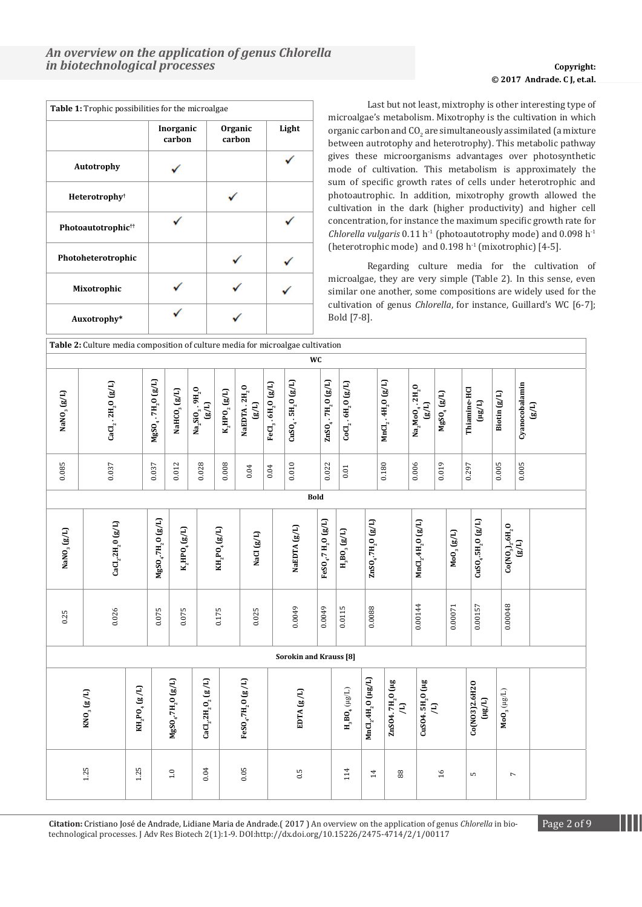# © **2017 Waghmode, et al. © 2017 Andrade. C J, et.al.**

| Table 1: Trophic possibilities for the microalgae |                     |                   |       |
|---------------------------------------------------|---------------------|-------------------|-------|
|                                                   | Inorganic<br>carbon | Organic<br>carbon | Light |
| Autotrophy                                        |                     |                   |       |
| Heterotrophy <sup>†</sup>                         |                     |                   |       |
| Photoautotrophic <sup>††</sup>                    |                     |                   |       |
| Photoheterotrophic                                |                     |                   |       |
| Mixotrophic                                       |                     |                   |       |
| Auxotrophy*                                       |                     |                   |       |

Last but not least, mixtrophy is other interesting type of microalgae's metabolism. Mixotrophy is the cultivation in which organic carbon and  $\mathfrak{CO}_2$  are simultaneously assimilated (a mixture between autrotophy and heterotrophy). This metabolic pathway gives these microorganisms advantages over photosynthetic mode of cultivation. This metabolism is approximately the sum of specific growth rates of cells under heterotrophic and photoautrophic. In addition, mixotrophy growth allowed the cultivation in the dark (higher productivity) and higher cell concentration, for instance the maximum specific growth rate for *Chlorella vulgaris* 0.11 h<sup>-1</sup> (photoautotrophy mode) and 0.098 h<sup>-1</sup> (heterotrophic mode) and  $0.198 h<sup>-1</sup>$  (mixotrophic) [4-5].

Regarding culture media for the cultivation of microalgae, they are very simple (Table 2). In this sense, even similar one another, some compositions are widely used for the cultivation of genus *Chlorella*, for instance, Guillard's WC [6-7]; Bold [7-8].

|                         | Table 2: Culture media composition of culture media for microalgae cultivation |                                                                   |                                            |                                                                                                              |                                                               |                  |                                                |                       |                                      |                                               |                                                               |                                   |                                                |                                                                           |                                                     |                                                          |                                                        |                         |
|-------------------------|--------------------------------------------------------------------------------|-------------------------------------------------------------------|--------------------------------------------|--------------------------------------------------------------------------------------------------------------|---------------------------------------------------------------|------------------|------------------------------------------------|-----------------------|--------------------------------------|-----------------------------------------------|---------------------------------------------------------------|-----------------------------------|------------------------------------------------|---------------------------------------------------------------------------|-----------------------------------------------------|----------------------------------------------------------|--------------------------------------------------------|-------------------------|
|                         |                                                                                |                                                                   |                                            |                                                                                                              |                                                               |                  |                                                |                       | WC                                   |                                               |                                                               |                                   |                                                |                                                                           |                                                     |                                                          |                                                        |                         |
| NaNO <sub>3</sub> (g/L) | $CaCl2$ . $2H2O(g/L)$                                                          |                                                                   | MgSO <sub>4</sub> .7H <sub>2</sub> O (g/L) | NaHCO <sub>3</sub> (g/L)                                                                                     | $\frac{\text{Na}_2\text{SiO}_3.\,9\text{H}_2\text{O}}{(g/L)}$ | $K_2HPO_2$ (g/L) | NaEDTA.2H <sub>2</sub> O<br>$\left(g/L\right)$ | $FeCl3$ . $6H2O(g/L)$ | $CuSO_{4}$ . 5H <sub>2</sub> O (g/L) | $\text{ZnSO}_4$ . $\text{7H}_2\text{O}$ (g/L) | $CoCl2$ . $6H2O$ $(g/L)$                                      |                                   | $MnCl2$ . 4H <sub>2</sub> O (g/L)              | Na <sub>2</sub> MoO <sub>4</sub> .2H <sub>2</sub> O<br>$\left(g/L\right)$ | $MgSO_{4}(g/L)$                                     | Thiamine-HCl<br>$\left( \mu g/L\right)$                  | Biotin $(g/L)$                                         | Cyanocobalamin<br>(g/L) |
| 0.085                   | 0.037                                                                          |                                                                   | 0.037                                      | 0.012                                                                                                        | 0.028                                                         | 0.008            | $\rm 0.04$                                     | $0.04\,$              | 0.010                                | 0.022                                         | $\!0.01\!$                                                    |                                   | 0.180                                          | 0.006                                                                     | 0.019                                               | 0.297                                                    | 0.005                                                  | 0.005                   |
|                         |                                                                                |                                                                   |                                            |                                                                                                              |                                                               |                  |                                                |                       | <b>Bold</b>                          |                                               |                                                               |                                   |                                                |                                                                           |                                                     |                                                          |                                                        |                         |
| NaNO <sub>3</sub> (g/L) | ${\rm CaCl_2}.{\rm ZH_2O}$ (g/L)                                               |                                                                   | ${ {\rm MgSO_4.7H_2O~(g/L)}}$              | $\ensuremath{\text{K}}\xspace_\text{2}\text{HPO}_\text{4}\left(\ensuremath{\text{g}}\xspace/\text{L}\right)$ |                                                               | $KH_2PO_4(g/L)$  | NaCl (g/L)                                     |                       | NaEDTA (g/L)                         | FeSO <sub>4</sub> .7 H <sub>2</sub> O (g/L)   | $\mathbf{H}_{3}\mathbf{B}\mathbf{O}_{3}$ (g/L)                | $ZnSO_4$ .7H <sub>2</sub> O (g/L) |                                                | MnCl <sub>2</sub> .4H <sub>2</sub> O (g/L)                                | $\mathsf{Mo}_{3}\left(\mathsf{g}/\mathsf{L}\right)$ | $CuSO_{4}$ .5H <sub>2</sub> O (g/L)                      | ${{\rm Co(NO}_3)_2.6{\rm H}_2\rm O} \over {\rm (g/L)}$ |                         |
| 0.25                    | 0.026                                                                          |                                                                   | 0.075                                      | 0.075                                                                                                        |                                                               | 0.175            | 0.025                                          |                       | 0.0049                               | 0.0049                                        | 0.0115                                                        | 0.0088                            |                                                | 0.00144                                                                   | 0.00071                                             | 0.00157                                                  | 0.00048                                                |                         |
|                         |                                                                                |                                                                   |                                            |                                                                                                              |                                                               |                  |                                                |                       | <b>Sorokin and Krauss [8]</b>        |                                               |                                                               |                                   |                                                |                                                                           |                                                     |                                                          |                                                        |                         |
|                         | $\text{KNO}_3\left(\text{g}/\text{L}\right)$                                   | $\text{KH}_{\text{2}}\text{PO}_{\text{4}}\left(\text{g/L}\right)$ |                                            | $MgSO_{4}$ .7H <sub>2</sub> O (g/L)                                                                          | $\mbox{CaCl}_{2}.\mbox{2H}_{2}\mbox{O}_{2}\mbox{ (g/L)}$      |                  | FeSO <sub>4</sub> .7H <sub>2</sub> O (g/L)     |                       | EDTA (g / L)                         |                                               | $\mathbf{H}_{3}\mathbf{B}\mathbf{O}_{4}\left( \mu g/L\right)$ | $MnCl, 4H, 0$ ( $\mu g/L$ )       | ZnSO4. 7H <sub>2</sub> O (µg<br>$\overline{z}$ | CuSO4. 5H <sub>2</sub> O (µg<br>$\Xi$                                     |                                                     | Co(NO3)2.6H2O<br>$\left( \mathrm{Hg}/\mathrm{L} \right)$ | $\mathsf{MoO}_3\left(\mu\mathsf{g}\mathsf{L}\right)$   |                         |
|                         | $1.25$                                                                         | 1.25                                                              |                                            | $1.0\,$                                                                                                      | 0.04                                                          |                  | $0.05\,$                                       |                       | 0.5                                  |                                               | 114                                                           | $\overline{1}$                    | 88                                             |                                                                           | 16                                                  | LO                                                       | $\overline{ }$                                         |                         |

**Citation:** Cristiano José de Andrade, Lidiane Maria de Andrade.( 2017 ) An overview on the application of genus *Chlorella* in bio- Page 2 of 9 technological processes. J Adv Res Biotech 2(1):1-9. DOI:http://dx.doi.org/10.15226/2475-4714/2/1/00117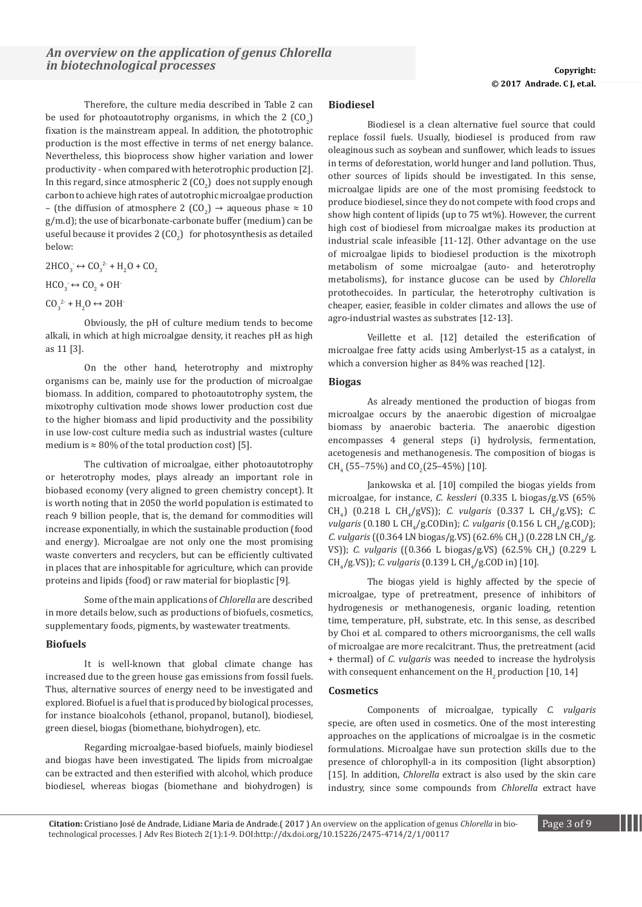Therefore, the culture media described in Table 2 can be used for photoautotrophy organisms, in which the 2  $(CO_2)$ fixation is the mainstream appeal. In addition, the phototrophic production is the most effective in terms of net energy balance. Nevertheless, this bioprocess show higher variation and lower productivity - when compared with heterotrophic production [2]. In this regard, since atmospheric 2 (CO<sub>2</sub>) does not supply enough carbon to achieve high rates of autotrophic microalgae production  $-$  (the diffusion of atmosphere 2 (CO<sub>2</sub>)  $\rightarrow$  aqueous phase  $\approx 10$ g/m.d); the use of bicarbonate-carbonate buffer (medium) can be useful because it provides 2  $({\rm CO}_2)$  for photosynthesis as detailed below:

 $2HCO_3 \leftrightarrow CO_3^{2} + H_2O + CO_2$ 

 $HCO_3^- \leftrightarrow CO_2 + OH^-$ 

 $CO_3^2$  + H<sub>2</sub>O  $\leftrightarrow$  2OH

Obviously, the pH of culture medium tends to become alkali, in which at high microalgae density, it reaches pH as high as 11 [3].

On the other hand, heterotrophy and mixtrophy organisms can be, mainly use for the production of microalgae biomass. In addition, compared to photoautotrophy system, the mixotrophy cultivation mode shows lower production cost due to the higher biomass and lipid productivity and the possibility in use low-cost culture media such as industrial wastes (culture medium is  $\approx 80\%$  of the total production cost) [5].

The cultivation of microalgae, either photoautotrophy or heterotrophy modes, plays already an important role in biobased economy (very aligned to green chemistry concept). It is worth noting that in 2050 the world population is estimated to reach 9 billion people, that is, the demand for commodities will increase exponentially, in which the sustainable production (food and energy). Microalgae are not only one the most promising waste converters and recyclers, but can be efficiently cultivated in places that are inhospitable for agriculture, which can provide proteins and lipids (food) or raw material for bioplastic [9].

Some of the main applications of *Chlorella* are described in more details below, such as productions of biofuels, cosmetics, supplementary foods, pigments, by wastewater treatments.

### **Biofuels**

It is well-known that global climate change has increased due to the green house gas emissions from fossil fuels. Thus, alternative sources of energy need to be investigated and explored. Biofuel is a fuel that is produced by biological processes, for instance bioalcohols (ethanol, propanol, butanol), biodiesel, green diesel, biogas (biomethane, biohydrogen), etc.

Regarding microalgae-based biofuels, mainly biodiesel and biogas have been investigated. The lipids from microalgae can be extracted and then esterified with alcohol, which produce biodiesel, whereas biogas (biomethane and biohydrogen) is

### **Biodiesel**

Biodiesel is a clean alternative fuel source that could replace fossil fuels. Usually, biodiesel is produced from raw oleaginous such as soybean and sunflower, which leads to issues in terms of deforestation, world hunger and land pollution. Thus, other sources of lipids should be investigated. In this sense, microalgae lipids are one of the most promising feedstock to produce biodiesel, since they do not compete with food crops and show high content of lipids (up to 75 wt%). However, the current high cost of biodiesel from microalgae makes its production at industrial scale infeasible [11-12]. Other advantage on the use of microalgae lipids to biodiesel production is the mixotroph metabolism of some microalgae (auto- and heterotrophy metabolisms), for instance glucose can be used by *Chlorella*  protothecoides. In particular, the heterotrophy cultivation is cheaper, easier, feasible in colder climates and allows the use of agro-industrial wastes as substrates [12-13].

Veillette et al. [12] detailed the esterification of microalgae free fatty acids using Amberlyst-15 as a catalyst, in which a conversion higher as 84% was reached [12].

### **Biogas**

As already mentioned the production of biogas from microalgae occurs by the anaerobic digestion of microalgae biomass by anaerobic bacteria. The anaerobic digestion encompasses 4 general steps (i) hydrolysis, fermentation, acetogenesis and methanogenesis. The composition of biogas is  $CH_4$  (55–75%) and  $CO_2$ (25–45%) [10].

Jankowska et al. [10] compiled the biogas yields from microalgae, for instance, *C. kessleri* (0.335 L biogas/g.VS (65% CH<sub>4</sub>) (0.218 L CH<sub>4</sub>/gVS)); *C. vulgaris* (0.337 L CH<sub>4</sub>/g.VS); *C. vulgaris* (0.180 L CH<sub>4</sub>/g.CODin); *C. vulgaris* (0.156 L CH<sub>4</sub>/g.COD); *C. vulgaris* ((0.364 LN biogas/g.VS) (62.6% CH<sub>4</sub>) (0.228 LN CH<sub>4</sub>/g. VS)); *C. vulgaris* ((0.366 L biogas/g.VS) (62.5% CH<sub>4</sub>) (0.229 L CH<sub>4</sub>/g.VS)); *C. vulgaris* (0.139 L CH<sub>4</sub>/g.COD in) [10].

The biogas yield is highly affected by the specie of microalgae, type of pretreatment, presence of inhibitors of hydrogenesis or methanogenesis, organic loading, retention time, temperature, pH, substrate, etc. In this sense, as described by Choi et al. compared to others microorganisms, the cell walls of microalgae are more recalcitrant. Thus, the pretreatment (acid + thermal) of *C. vulgaris* was needed to increase the hydrolysis with consequent enhancement on the  $\text{H}_{\text{2}}$  production [10, 14]

### **Cosmetics**

Components of microalgae, typically *C. vulgaris*  specie, are often used in cosmetics. One of the most interesting approaches on the applications of microalgae is in the cosmetic formulations. Microalgae have sun protection skills due to the presence of chlorophyll-a in its composition (light absorption) [15]. In addition, *Chlorella* extract is also used by the skin care industry, since some compounds from *Chlorella* extract have

**Citation:** Cristiano José de Andrade, Lidiane Maria de Andrade.( 2017 ) An overview on the application of genus *Chlorella* in bio- Page 3 of 9 technological processes. J Adv Res Biotech 2(1):1-9. DOI:http://dx.doi.org/10.15226/2475-4714/2/1/00117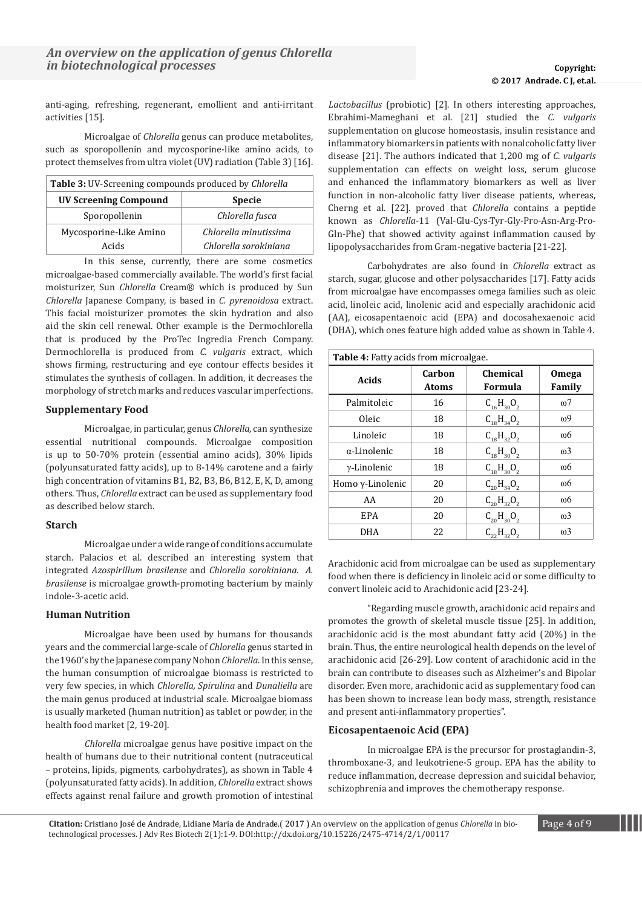anti-aging, refreshing, regenerant, emollient and anti-irritant activities [15].

Microalgae of *Chlorella* genus can produce metabolites, such as sporopollenin and mycosporine-like amino acids, to protect themselves from ultra violet (UV) radiation (Table 3) [16].

| <b>Table 3:</b> UV-Screening compounds produced by <i>Chlorella</i> |                       |  |  |  |  |
|---------------------------------------------------------------------|-----------------------|--|--|--|--|
| <b>UV Screening Compound</b><br><b>Specie</b>                       |                       |  |  |  |  |
| Sporopollenin                                                       | Chlorella fusca       |  |  |  |  |
| Mycosporine-Like Amino                                              | Chlorella minutissima |  |  |  |  |
| Acids                                                               | Chlorella sorokiniana |  |  |  |  |

In this sense, currently, there are some cosmetics microalgae-based commercially available. The world's first facial moisturizer, Sun *Chlorella* Cream® which is produced by Sun *Chlorella* Japanese Company, is based in *C. pyrenoidosa* extract. This facial moisturizer promotes the skin hydration and also aid the skin cell renewal. Other example is the Dermochlorella that is produced by the ProTec Ingredia French Company. Dermochlorella is produced from *C. vulgaris* extract, which shows firming, restructuring and eye contour effects besides it stimulates the synthesis of collagen. In addition, it decreases the morphology of stretch marks and reduces vascular imperfections.

### **Supplementary Food**

Microalgae, in particular, genus *Chlorella,* can synthesize essential nutritional compounds. Microalgae composition is up to 50-70% protein (essential amino acids), 30% lipids (polyunsaturated fatty acids), up to 8-14% carotene and a fairly high concentration of vitamins B1, B2, B3, B6, B12, E, K, D, among others. Thus, *Chlorella* extract can be used as supplementary food as described below starch.

### **Starch**

Microalgae under a wide range of conditions accumulate starch. Palacios et al. described an interesting system that integrated *Azospirillum brasilense* and *Chlorella sorokiniana. A. brasilense* is microalgae growth-promoting bacterium by mainly indole-3-acetic acid.

### **Human Nutrition**

Microalgae have been used by humans for thousands years and the commercial large-scale of *Chlorella* genus started in the 1960's by the Japanese company Nohon *Chlorella*. In this sense, the human consumption of microalgae biomass is restricted to very few species, in which *Chlorella, Spirulina* and *Dunaliella* are the main genus produced at industrial scale. Microalgae biomass is usually marketed (human nutrition) as tablet or powder, in the health food market [2, 19-20].

*Chlorella* microalgae genus have positive impact on the health of humans due to their nutritional content (nutraceutical – proteins, lipids, pigments, carbohydrates), as shown in Table 4 (polyunsaturated fatty acids). In addition, *Chlorella* extract shows effects against renal failure and growth promotion of intestinal

*Lactobacillus* (probiotic) [2]. In others interesting approaches, Ebrahimi-Mameghani et al. [21] studied the *C. vulgaris*  supplementation on glucose homeostasis, insulin resistance and inflammatory biomarkers in patients with nonalcoholic fatty liver disease [21]. The authors indicated that 1,200 mg of *C. vulgaris*  supplementation can effects on weight loss, serum glucose and enhanced the inflammatory biomarkers as well as liver function in non-alcoholic fatty liver disease patients, whereas, Cherng et al. [22]. proved that *Chlorella* contains a peptide known as *Chlorella*-11 (Val-Glu-Cys-Tyr-Gly-Pro-Asn-Arg-Pro-Gln-Phe) that showed activity against inflammation caused by lipopolysaccharides from Gram-negative bacteria [21-22].

Carbohydrates are also found in *Chlorella* extract as starch, sugar, glucose and other polysaccharides [17]. Fatty acids from microalgae have encompasses omega families such as oleic acid, linoleic acid, linolenic acid and especially arachidonic acid (AA), eicosapentaenoic acid (EPA) and docosahexaenoic acid (DHA), which ones feature high added value as shown in Table 4.

| <b>Table 4:</b> Fatty acids from microalgae. |                        |                            |                        |  |  |  |
|----------------------------------------------|------------------------|----------------------------|------------------------|--|--|--|
| <b>Acids</b>                                 | Carbon<br><b>Atoms</b> | <b>Chemical</b><br>Formula | <b>Omega</b><br>Family |  |  |  |
| Palmitoleic                                  | 16                     | $C_{16}H_{30}O_2$          | $\omega$ 7             |  |  |  |
| Oleic                                        | 18                     | $C_{18}H_{34}O_2$          | ω9                     |  |  |  |
| Linoleic                                     | 18                     | $C_{18}H_{32}O_2$          | ω6                     |  |  |  |
| $\alpha$ -Linolenic                          | 18                     | $C_{18}H_{30}O_2$          | $\omega$ 3             |  |  |  |
| γ-Linolenic                                  | 18                     | $C_{18}H_{30}O_2$          | ω6                     |  |  |  |
| Homo $\gamma$ -Linolenic                     | 20                     | $C_{20}H_{34}O_2$          | ω6                     |  |  |  |
| AA                                           | 20                     | $C_{20}H_{32}O_2$          | ω6                     |  |  |  |
| <b>EPA</b>                                   | 20                     | $C_{20}H_{30}O_2$          | $\omega$ 3             |  |  |  |
| DHA                                          | 22                     | $C_{22}H_{32}O_2$          | $\omega$ 3             |  |  |  |

Arachidonic acid from microalgae can be used as supplementary food when there is deficiency in linoleic acid or some difficulty to convert linoleic acid to Arachidonic acid [23-24].

"Regarding muscle growth, arachidonic acid repairs and promotes the growth of skeletal muscle tissue [25]. In addition, arachidonic acid is the most abundant fatty acid (20%) in the brain. Thus, the entire neurological health depends on the level of arachidonic acid [26-29]. Low content of arachidonic acid in the brain can contribute to diseases such as Alzheimer's and Bipolar disorder. Even more, arachidonic acid as supplementary food can has been shown to increase lean body mass, strength, resistance and present anti-inflammatory properties".

### **Eicosapentaenoic Acid (EPA)**

In microalgae EPA is the precursor for prostaglandin-3, thromboxane-3, and leukotriene-5 group. EPA has the ability to reduce inflammation, decrease depression and suicidal behavior, schizophrenia and improves the chemotherapy response.

**Citation:** Cristiano José de Andrade, Lidiane Maria de Andrade.( 2017 ) An overview on the application of genus *Chlorella* in bio- Page 4 of 9 technological processes. J Adv Res Biotech 2(1):1-9. DOI:http://dx.doi.org/10.15226/2475-4714/2/1/00117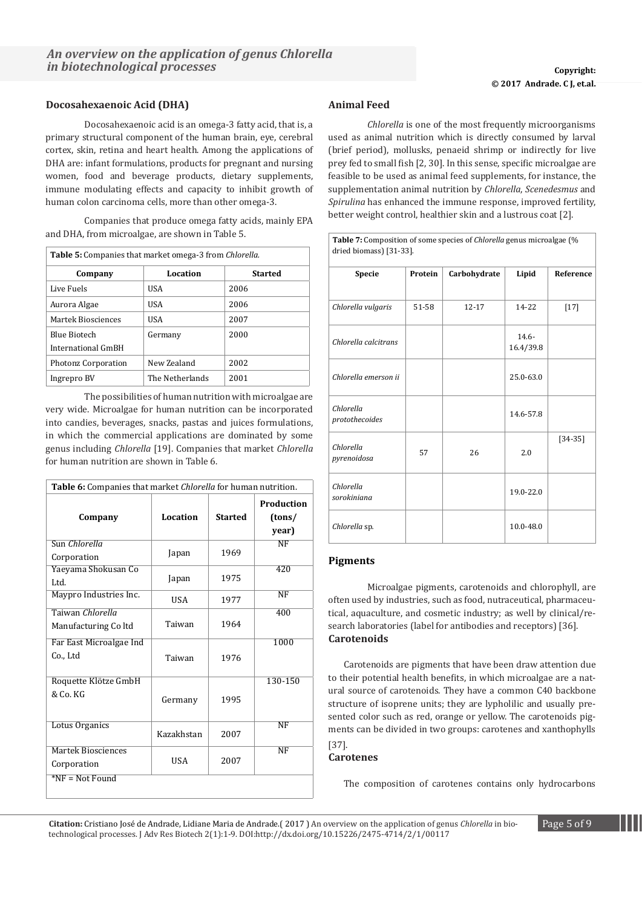### **Docosahexaenoic Acid (DHA)**

Docosahexaenoic acid is an omega-3 fatty acid, that is, a primary structural component of the human brain, eye, cerebral cortex, skin, retina and heart health. Among the applications of DHA are: infant formulations, products for pregnant and nursing women, food and beverage products, dietary supplements, immune modulating effects and capacity to inhibit growth of human colon carcinoma cells, more than other omega-3.

Companies that produce omega fatty acids, mainly EPA and DHA, from microalgae, are shown in Table 5.

| <b>Table 5:</b> Companies that market omega-3 from <i>Chlorella</i> . |                 |                |  |  |  |  |
|-----------------------------------------------------------------------|-----------------|----------------|--|--|--|--|
| Company                                                               | Location        | <b>Started</b> |  |  |  |  |
| Live Fuels                                                            | USA             | 2006           |  |  |  |  |
| Aurora Algae                                                          | USA             | 2006           |  |  |  |  |
| Martek Biosciences                                                    | USA             | 2007           |  |  |  |  |
| <b>Blue Biotech</b><br>International GmBH                             | Germany         | 2000           |  |  |  |  |
| Photonz Corporation                                                   | New Zealand     | 2002           |  |  |  |  |
| Ingrepro BV                                                           | The Netherlands | 2001           |  |  |  |  |

The possibilities of human nutrition with microalgae are very wide. Microalgae for human nutrition can be incorporated into candies, beverages, snacks, pastas and juices formulations, in which the commercial applications are dominated by some genus including *Chlorella* [19]. Companies that market *Chlorella*  for human nutrition are shown in Table 6.

| Table 6: Companies that market <i>Chlorella</i> for human nutrition. |            |                |                               |  |  |  |
|----------------------------------------------------------------------|------------|----------------|-------------------------------|--|--|--|
| Company                                                              | Location   | <b>Started</b> | Production<br>(tons/<br>year) |  |  |  |
| Sun Chlorella<br>Corporation                                         | Japan      | 1969           | NF                            |  |  |  |
| Yaeyama Shokusan Co<br>Ltd.                                          | Japan      | 1975           | 420                           |  |  |  |
| Maypro Industries Inc.                                               | USA        | 1977           | NF                            |  |  |  |
| Taiwan Chlorella<br>Manufacturing Coltd                              | Taiwan     | 1964           | 400                           |  |  |  |
| Far East Microalgae Ind<br>Co Ltd                                    | Taiwan     | 1976           | 1000                          |  |  |  |
| Roquette Klötze GmbH<br>& Co. KG                                     | Germany    | 1995           | 130-150                       |  |  |  |
| Lotus Organics                                                       | Kazakhstan | 2007           | <b>NF</b>                     |  |  |  |
| <b>Martek Biosciences</b><br>Corporation                             | <b>USA</b> | 2007           | NF                            |  |  |  |
| $*NF = Not Found$                                                    |            |                |                               |  |  |  |

### **Animal Feed**

*Chlorella* is one of the most frequently microorganisms used as animal nutrition which is directly consumed by larval (brief period), mollusks, penaeid shrimp or indirectly for live prey fed to small fish [2, 30]. In this sense, specific microalgae are feasible to be used as animal feed supplements, for instance, the supplementation animal nutrition by *Chlorella*, *Scenedesmus* and *Spirulina* has enhanced the immune response, improved fertility, better weight control, healthier skin and a lustrous coat [2].

**Table 7:** Composition of some species of *Chlorella* genus microalgae (%

| dried biomass) $ 31-33 $ .  |         |              |                       |                  |  |  |  |
|-----------------------------|---------|--------------|-----------------------|------------------|--|--|--|
| <b>Specie</b>               | Protein | Carbohydrate | Lipid                 | <b>Reference</b> |  |  |  |
| Chlorella vulgaris          | 51-58   | $12 - 17$    | $14 - 22$             | $[17]$           |  |  |  |
| Chlorella calcitrans        |         |              | $14.6 -$<br>16.4/39.8 |                  |  |  |  |
| Chlorella emerson ii        |         |              | 25.0-63.0             |                  |  |  |  |
| Chlorella<br>protothecoides |         |              | 14.6-57.8             |                  |  |  |  |
| Chlorella<br>pyrenoidosa    | 57      | 26           | 2.0                   | $[34-35]$        |  |  |  |
| Chlorella<br>sorokiniana    |         |              | 19.0-22.0             |                  |  |  |  |
| Chlorella sp.               |         |              | 10.0-48.0             |                  |  |  |  |

### **Pigments**

Microalgae pigments, carotenoids and chlorophyll, are often used by industries, such as food, nutraceutical, pharmaceutical, aquaculture, and cosmetic industry; as well by clinical/research laboratories (label for antibodies and receptors) [36]. **Carotenoids**

Carotenoids are pigments that have been draw attention due to their potential health benefits, in which microalgae are a natural source of carotenoids. They have a common C40 backbone structure of isoprene units; they are lypholilic and usually presented color such as red, orange or yellow. The carotenoids pigments can be divided in two groups: carotenes and xanthophylls [37].

### **Carotenes**

The composition of carotenes contains only hydrocarbons

**Citation:** Cristiano José de Andrade, Lidiane Maria de Andrade.( 2017 ) An overview on the application of genus *Chlorella* in bio- Page 5 of 9 technological processes. J Adv Res Biotech 2(1):1-9. DOI:http://dx.doi.org/10.15226/2475-4714/2/1/00117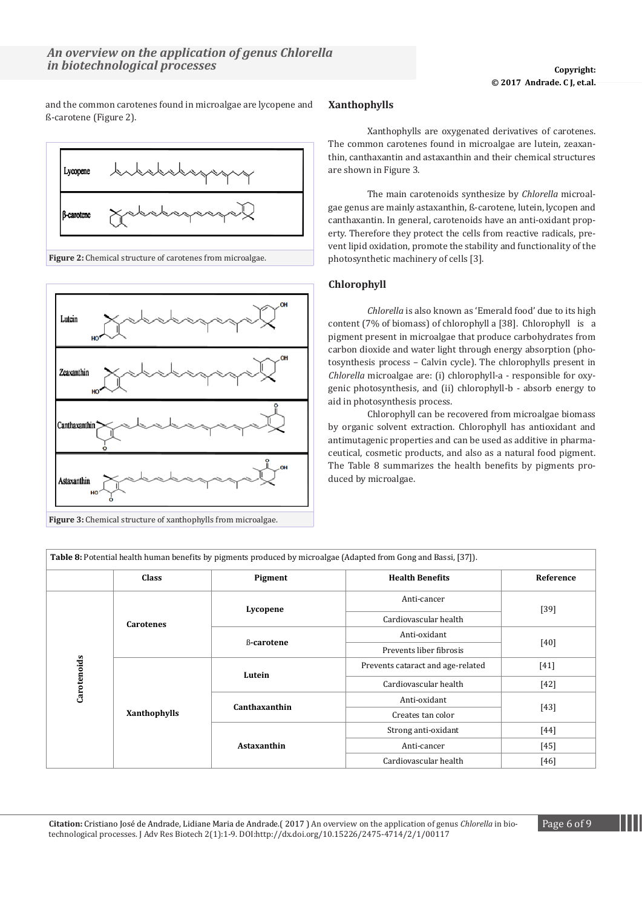and the common carotenes found in microalgae are lycopene and ß-carotene (Figure 2).



**Figure 2:** Chemical structure of carotenes from microalgae.



**Figure 3:** Chemical structure of xanthophylls from microalgae.

### **Xanthophylls**

Xanthophylls are oxygenated derivatives of carotenes. The common carotenes found in microalgae are lutein, zeaxanthin, canthaxantin and astaxanthin and their chemical structures are shown in Figure 3.

The main carotenoids synthesize by *Chlorella* microalgae genus are mainly astaxanthin, ß-carotene, lutein, lycopen and canthaxantin. In general, carotenoids have an anti-oxidant property. Therefore they protect the cells from reactive radicals, prevent lipid oxidation, promote the stability and functionality of the photosynthetic machinery of cells [3].

### **Chlorophyll**

*Chlorella* is also known as 'Emerald food' due to its high content (7% of biomass) of chlorophyll a [38]. Chlorophyll is a pigment present in microalgae that produce carbohydrates from carbon dioxide and water light through energy absorption (photosynthesis process – Calvin cycle). The chlorophylls present in *Chlorella* microalgae are: (i) chlorophyll-a - responsible for oxygenic photosynthesis, and (ii) chlorophyll-b - absorb energy to aid in photosynthesis process.

Chlorophyll can be recovered from microalgae biomass by organic solvent extraction. Chlorophyll has antioxidant and antimutagenic properties and can be used as additive in pharmaceutical, cosmetic products, and also as a natural food pigment. The Table 8 summarizes the health benefits by pigments produced by microalgae.

|             | <b>Class</b>     | Pigment           | <b>Health Benefits</b>            | Reference                          |  |  |
|-------------|------------------|-------------------|-----------------------------------|------------------------------------|--|--|
|             |                  | Lycopene          | Anti-cancer                       |                                    |  |  |
|             | <b>Carotenes</b> |                   | Cardiovascular health             | $[39]$<br>[40]<br>$[41]$<br>$[42]$ |  |  |
|             |                  | <b>B-carotene</b> | Anti-oxidant                      |                                    |  |  |
|             |                  |                   | Prevents liber fibrosis           |                                    |  |  |
| Carotenoids |                  | Lutein            | Prevents cataract and age-related |                                    |  |  |
|             |                  |                   | Cardiovascular health             |                                    |  |  |
|             |                  |                   | Anti-oxidant                      |                                    |  |  |
|             | Xanthophylls     | Canthaxanthin     | Creates tan color                 | $[43]$                             |  |  |
|             |                  |                   | Strong anti-oxidant               | [44]                               |  |  |
|             |                  | Astaxanthin       | Anti-cancer                       | $[45]$                             |  |  |
|             |                  |                   | Cardiovascular health             | $[46]$                             |  |  |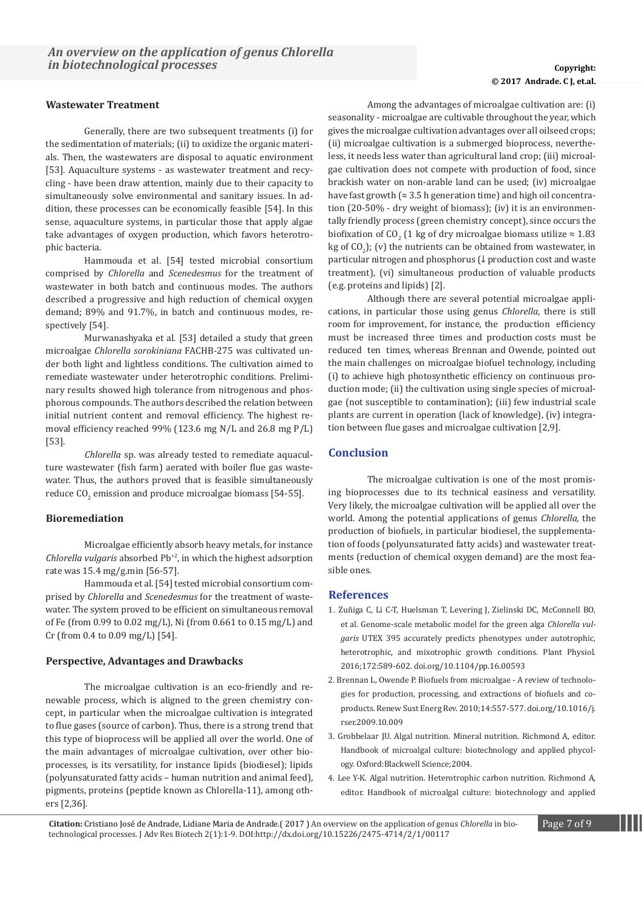### **Wastewater Treatment**

Generally, there are two subsequent treatments (i) for the sedimentation of materials; (ii) to oxidize the organic materials. Then, the wastewaters are disposal to aquatic environment [53]. Aquaculture systems - as wastewater treatment and recycling - have been draw attention, mainly due to their capacity to simultaneously solve environmental and sanitary issues. In addition, these processes can be economically feasible [54]. In this sense, aquaculture systems, in particular those that apply algae take advantages of oxygen production, which favors heterotrophic bacteria.

Hammouda et al. [54] tested microbial consortium comprised by *Chlorella* and *Scenedesmus* for the treatment of wastewater in both batch and continuous modes. The authors described a progressive and high reduction of chemical oxygen demand; 89% and 91.7%, in batch and continuous modes, respectively [54].

Murwanashyaka et al. [53] detailed a study that green microalgae *Chlorella sorokiniana* FACHB-275 was cultivated under both light and lightless conditions. The cultivation aimed to remediate wastewater under heterotrophic conditions. Preliminary results showed high tolerance from nitrogenous and phosphorous compounds. The authors described the relation between initial nutrient content and removal efficiency. The highest removal efficiency reached 99% (123.6 mg N/L and 26.8 mg P/L) [53].

*Chlorella* sp. was already tested to remediate aquaculture wastewater (fish farm) aerated with boiler flue gas wastewater. Thus, the authors proved that is feasible simultaneously reduce CO $_2$  emission and produce microalgae biomass [54-55].

### **Bioremediation**

Microalgae efficiently absorb heavy metals, for instance *Chlorella vulgaris* absorbed Pb<sup>+2</sup>, in which the highest adsorption rate was 15.4 mg/g.min [56-57].

Hammouda et al. [54] tested microbial consortium comprised by *Chlorella* and *Scenedesmus* for the treatment of wastewater. The system proved to be efficient on simultaneous removal of Fe (from 0.99 to 0.02 mg/L), Ni (from 0.661 to 0.15 mg/L) and Cr (from 0.4 to 0.09 mg/L) [54].

#### **Perspective, Advantages and Drawbacks**

The microalgae cultivation is an eco-friendly and renewable process, which is aligned to the green chemistry concept, in particular when the microalgae cultivation is integrated to flue gases (source of carbon). Thus, there is a strong trend that this type of bioprocess will be applied all over the world. One of the main advantages of microalgae cultivation, over other bioprocesses, is its versatility, for instance lipids (biodiesel); lipids (polyunsaturated fatty acids – human nutrition and animal feed), pigments, proteins (peptide known as Chlorella-11), among others [2,36].

# © **2017 Waghmode, et al. © 2017 Andrade. C J, et.al.**

Among the advantages of microalgae cultivation are: (i) seasonality - microalgae are cultivable throughout the year, which gives the microalgae cultivation advantages over all oilseed crops; (ii) microalgae cultivation is a submerged bioprocess, nevertheless, it needs less water than agricultural land crop; (iii) microalgae cultivation does not compete with production of food, since brackish water on non-arable land can be used; (iv) microalgae have fast growth ( $\approx$  3.5 h generation time) and high oil concentration (20-50% - dry weight of biomass); (iv) it is an environmentally friendly process (green chemistry concept), since occurs the biofixation of CO<sub>2</sub> (1 kg of dry microalgae biomass utilize  $\approx 1.83$ ) kg of  $CO<sub>2</sub>$ ); (v) the nutrients can be obtained from wastewater, in particular nitrogen and phosphorus (↓ production cost and waste treatment), (vi) simultaneous production of valuable products (e.g. proteins and lipids) [2].

Although there are several potential microalgae applications, in particular those using genus *Chlorella,* there is still room for improvement, for instance, the production efficiency must be increased three times and production costs must be reduced ten times, whereas Brennan and Owende, pointed out the main challenges on microalgae biofuel technology, including (i) to achieve high photosynthetic efficiency on continuous production mode; (ii) the cultivation using single species of microalgae (not susceptible to contamination); (iii) few industrial scale plants are current in operation (lack of knowledge), (iv) integration between flue gases and microalgae cultivation [2,9].

### **Conclusion**

The microalgae cultivation is one of the most promising bioprocesses due to its technical easiness and versatility. Very likely, the microalgae cultivation will be applied all over the world. Among the potential applications of genus *Chlorella,* the production of biofuels, in particular biodiesel, the supplementation of foods (polyunsaturated fatty acids) and wastewater treatments (reduction of chemical oxygen demand) are the most feasible ones.

### **References**

- 1. [Zuñiga C, Li C-T, Huelsman T, Levering J, Zielinski DC, McConnell BO,](https://www.deepdyve.com/lp/american-society-of-plant-biologist/genome-scale-metabolic-model-for-the-green-alga-chlorella-vulgaris-xIt8Vu90VX)  [et al. Genome-scale metabolic model for the green alga](https://www.deepdyve.com/lp/american-society-of-plant-biologist/genome-scale-metabolic-model-for-the-green-alga-chlorella-vulgaris-xIt8Vu90VX) *Chlorella vulgaris* [UTEX 395 accurately predicts phenotypes under autotrophic,](https://www.deepdyve.com/lp/american-society-of-plant-biologist/genome-scale-metabolic-model-for-the-green-alga-chlorella-vulgaris-xIt8Vu90VX)  [heterotrophic, and mixotrophic growth conditions. Plant Physiol.](https://www.deepdyve.com/lp/american-society-of-plant-biologist/genome-scale-metabolic-model-for-the-green-alga-chlorella-vulgaris-xIt8Vu90VX)  [2016;172:589-602. doi.org/10.1104/pp.16.00593](https://www.deepdyve.com/lp/american-society-of-plant-biologist/genome-scale-metabolic-model-for-the-green-alga-chlorella-vulgaris-xIt8Vu90VX)
- 2. [Brennan L, Owende P. Biofuels from microalgae A review of technolo](http://www.academia.edu/8519254/Biofuels_from_microalgae_A_review_of_technologies_for_production_processing_and_extractions_of_biofuels_and_co-products_A_R_T_I_C_L_E_I_N_F_O)[gies for production, processing, and extractions of biofuels and co](http://www.academia.edu/8519254/Biofuels_from_microalgae_A_review_of_technologies_for_production_processing_and_extractions_of_biofuels_and_co-products_A_R_T_I_C_L_E_I_N_F_O)[products. Renew Sust Energ Rev. 2010;14:557-577. doi.org/10.1016/j.](http://www.academia.edu/8519254/Biofuels_from_microalgae_A_review_of_technologies_for_production_processing_and_extractions_of_biofuels_and_co-products_A_R_T_I_C_L_E_I_N_F_O) [rser.2009.10.009](http://www.academia.edu/8519254/Biofuels_from_microalgae_A_review_of_technologies_for_production_processing_and_extractions_of_biofuels_and_co-products_A_R_T_I_C_L_E_I_N_F_O)
- 3. [Grobbelaar JU. Algal nutrition. Mineral nutrition. Richmond A, editor.](http://as.wiley.com/WileyCDA/WileyTitle/productCd-0632059532.html)  [Handbook of microalgal culture: biotechnology and applied phycol](http://as.wiley.com/WileyCDA/WileyTitle/productCd-0632059532.html)[ogy. Oxford:Blackwell Science;2004.](http://as.wiley.com/WileyCDA/WileyTitle/productCd-0632059532.html)
- 4. [Lee Y-K. Algal nutrition. Heterotrophic carbon nutrition. Richmond A,](http://as.wiley.com/WileyCDA/WileyTitle/productCd-0632059532.html)  [editor. Handbook of microalgal culture: biotechnology and applied](http://as.wiley.com/WileyCDA/WileyTitle/productCd-0632059532.html)

**Citation:** Cristiano José de Andrade, Lidiane Maria de Andrade.( 2017 ) An overview on the application of genus *Chlorella* in bio- Page 7 of 9 technological processes. J Adv Res Biotech 2(1):1-9. DOI:http://dx.doi.org/10.15226/2475-4714/2/1/00117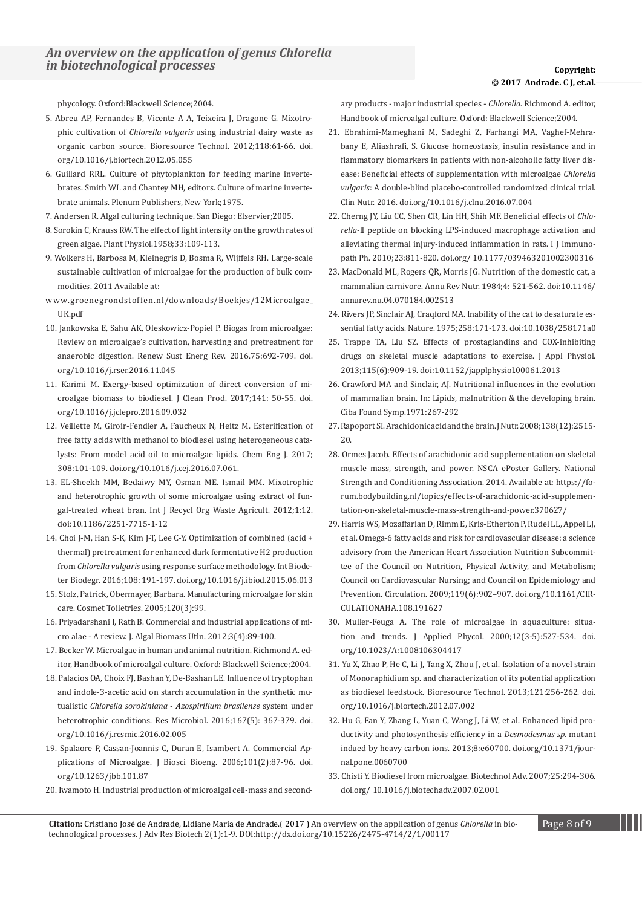[phycology. Oxford:Blackwell Science;2004.](http://as.wiley.com/WileyCDA/WileyTitle/productCd-0632059532.html)

- 5. [Abreu AP, Fernandes B, Vicente A A, Teixeira J, Dragone G. Mixotro](https://www.ncbi.nlm.nih.gov/pubmed/22705507)phic cultivation of *Chlorella vulgaris* [using industrial dairy waste as](https://www.ncbi.nlm.nih.gov/pubmed/22705507)  [organic carbon source. Bioresource Technol. 2012;118:61-66. doi.](https://www.ncbi.nlm.nih.gov/pubmed/22705507) [org/10.1016/j.biortech.2012.05.055](https://www.ncbi.nlm.nih.gov/pubmed/22705507)
- 6. [Guillard RRL. Culture of phytoplankton for feeding marine inverte](https://books.google.co.in/books/about/Culture_of_marine_invertebrate_animals.html%3Fid%3DxIwWAQAAIAAJ%26redir_esc%3Dy)[brates. Smith WL and Chantey MH, editors. Culture of marine inverte](https://books.google.co.in/books/about/Culture_of_marine_invertebrate_animals.html%3Fid%3DxIwWAQAAIAAJ%26redir_esc%3Dy)[brate animals. Plenum Publishers, New York;1975](https://books.google.co.in/books/about/Culture_of_marine_invertebrate_animals.html%3Fid%3DxIwWAQAAIAAJ%26redir_esc%3Dy).
- 7. [Andersen R. Algal culturing technique. San Diego: Elservier;2005](https://www.elsevier.com/books/algal-culturing-techniques/andersen/978-0-12-088426-1).
- 8. [Sorokin C, Krauss RW. The effect of light intensity on the growth rates of](https://www.ncbi.nlm.nih.gov/pubmed/%3Fterm%3DSorokin%2BC%2Band%2BKrauss%2BRW.%2BThe%2Beffect%2Bof%2Blight%2Bintensity%2Bon%2Bthe%2Bgrowth%2Brates%2Bof%2Bgreen%2Balgae.%2BPlant%2BPhysiol.%2B1958%253B%2B33%253A%2B109-113.)  [green algae. Plant Physiol.1958;33:109-113.](https://www.ncbi.nlm.nih.gov/pubmed/%3Fterm%3DSorokin%2BC%2Band%2BKrauss%2BRW.%2BThe%2Beffect%2Bof%2Blight%2Bintensity%2Bon%2Bthe%2Bgrowth%2Brates%2Bof%2Bgreen%2Balgae.%2BPlant%2BPhysiol.%2B1958%253B%2B33%253A%2B109-113.)
- 9. [Wolkers H, Barbosa M, Kleinegris D, Bosma R, Wijffels RH. Large-scale](http://www.groenegrondstoffen.nl/downloads/Boekjes/12Microalgae_UK.pdf)  [sustainable cultivation of microalgae for the production of bulk com](http://www.groenegrondstoffen.nl/downloads/Boekjes/12Microalgae_UK.pdf)[modities. 2011 Available at:](http://www.groenegrondstoffen.nl/downloads/Boekjes/12Microalgae_UK.pdf)
- [www.groenegrondstoffen.nl/downloads/Boekjes/12Microalgae\\_](http://www.groenegrondstoffen.nl/downloads/Boekjes/12Microalgae_UK.pdf) [UK.pdf](http://www.groenegrondstoffen.nl/downloads/Boekjes/12Microalgae_UK.pdf)
- 10. [Jankowska E, Sahu AK, Oleskowicz-Popiel P. Biogas from microalgae:](http://www.sciencedirect.com/science/article/pii/S1364032116308486)  [Review on microalgae's cultivation, harvesting and pretreatment for](http://www.sciencedirect.com/science/article/pii/S1364032116308486)  [anaerobic digestion. Renew Sust Energ Rev. 2016.75:692-709. doi.](http://www.sciencedirect.com/science/article/pii/S1364032116308486) [org/10.1016/j.rser.2016.11.045](http://www.sciencedirect.com/science/article/pii/S1364032116308486)
- 11[. Karimi M. Exergy-based optimization of direct conversion of mi](http://www.sciencedirect.com/science/article/pii/S0959652616313737)[croalgae biomass to biodiesel. J Clean Prod. 2017;141: 50-55. doi.](http://www.sciencedirect.com/science/article/pii/S0959652616313737) [org/10.1016/j.jclepro.2016.09.032](http://www.sciencedirect.com/science/article/pii/S0959652616313737)
- 12. [Veillette M, Giroir-Fendler A, Faucheux N, Heitz M. Esterification of](http://www.cheric.org/research/tech/periodicals/view.php%3Fseq%3D1511938)  [free fatty acids with methanol to biodiesel using heterogeneous cata](http://www.cheric.org/research/tech/periodicals/view.php%3Fseq%3D1511938)[lysts: From model acid oil to microalgae lipids. Chem Eng J. 2017;](http://www.cheric.org/research/tech/periodicals/view.php%3Fseq%3D1511938)  [308:101-109. doi.org/10.1016/j.cej.2016.07.061.](http://www.cheric.org/research/tech/periodicals/view.php%3Fseq%3D1511938)
- 13[. EL-Sheekh MM, Bedaiwy MY, Osman ME. Ismail MM. Mixotrophic](https://link.springer.com/article/10.1186/2251-7715-1-12)  [and heterotrophic growth of some microalgae using extract of fun](https://link.springer.com/article/10.1186/2251-7715-1-12)[gal-treated wheat bran. Int J Recycl Org Waste Agricult. 2012;1:12.](https://link.springer.com/article/10.1186/2251-7715-1-12)  [doi:10.1186/2251-7715-1-12](https://link.springer.com/article/10.1186/2251-7715-1-12)
- 14. [Choi J-M, Han S-K, Kim J-T, Lee C-Y. Optimization of combined \(acid +](https://www.infona.pl/resource/bwmeta1.element.elsevier-1d33e6ee-a37f-3277-9b18-20fda71f2e71)  [thermal\) pretreatment for enhanced dark fermentative H2 production](https://www.infona.pl/resource/bwmeta1.element.elsevier-1d33e6ee-a37f-3277-9b18-20fda71f2e71)  from *Chlorella vulgaris* [using response surface methodology. Int Biode](https://www.infona.pl/resource/bwmeta1.element.elsevier-1d33e6ee-a37f-3277-9b18-20fda71f2e71)[ter Biodegr. 2016;108: 191-197. doi.org/10.1016/j.ibiod.2015.06.013](https://www.infona.pl/resource/bwmeta1.element.elsevier-1d33e6ee-a37f-3277-9b18-20fda71f2e71)
- 15. [Stolz, Patrick, Obermayer, Barbara. Manufacturing microalgae for skin](http://connection.ebscohost.com/c/articles/16295351/manufacturing-microalgae-skin-care)  [care. Cosmet Toiletries. 2005;120\(3\):99.](http://connection.ebscohost.com/c/articles/16295351/manufacturing-microalgae-skin-care)
- 16. [Priyadarshani I, Rath B. Commercial and industrial applications of mi](http://jalgalbiomass.com/paper14vol3no4.pdf)[cro alae - A review. J. Algal Biomass Utln. 2012;3\(4\):89-100.](http://jalgalbiomass.com/paper14vol3no4.pdf)
- 17[. Becker W. Microalgae in human and animal nutrition. Richmond A. ed](http://onlinelibrary.wiley.com/doi/10.1002/9780470995280.ch18/summary)[itor, Handbook of microalgal culture. Oxford: Blackwell Science;2004.](http://onlinelibrary.wiley.com/doi/10.1002/9780470995280.ch18/summary)
- 18. [Palacios OA, Choix FJ, Bashan Y, De-Bashan LE. Influence of tryptophan](https://www.ncbi.nlm.nih.gov/pubmed/26924113)  [and indole-3-acetic acid on starch accumulation in the synthetic mu](https://www.ncbi.nlm.nih.gov/pubmed/26924113)tualistic *Chlorella sorokiniana* - *[Azospirillum brasilense](https://www.ncbi.nlm.nih.gov/pubmed/26924113)* system under [heterotrophic conditions. Res Microbiol. 2016;167\(5\): 367-379. doi.](https://www.ncbi.nlm.nih.gov/pubmed/26924113) [org/10.1016/j.resmic.2016.02.005](https://www.ncbi.nlm.nih.gov/pubmed/26924113)
- 19. [Spalaore P, Cassan-Joannis C, Duran E, Isambert A. Commercial Ap](https://www.ncbi.nlm.nih.gov/pubmed/%3Fterm%3DSpalaore%2BP%252C%2BCassan-Joannis%2BC%252C%2BDuran%2BE%252C%2BIsambert%2BA.%2BCommercial%2BApplications%2Bof%2BMicroalgae.%2BJ%2BBiosci%2BBioeng.%2B2006%253B%2B101%253B%2B87-96.%2Bdoi.org%252F10.1263%252Fjbb.101.87)[plications of Microalgae. J Biosci Bioeng. 2006;101\(2\):87-96. doi.](https://www.ncbi.nlm.nih.gov/pubmed/%3Fterm%3DSpalaore%2BP%252C%2BCassan-Joannis%2BC%252C%2BDuran%2BE%252C%2BIsambert%2BA.%2BCommercial%2BApplications%2Bof%2BMicroalgae.%2BJ%2BBiosci%2BBioeng.%2B2006%253B%2B101%253B%2B87-96.%2Bdoi.org%252F10.1263%252Fjbb.101.87) [org/10.1263/jbb.101.87](https://www.ncbi.nlm.nih.gov/pubmed/%3Fterm%3DSpalaore%2BP%252C%2BCassan-Joannis%2BC%252C%2BDuran%2BE%252C%2BIsambert%2BA.%2BCommercial%2BApplications%2Bof%2BMicroalgae.%2BJ%2BBiosci%2BBioeng.%2B2006%253B%2B101%253B%2B87-96.%2Bdoi.org%252F10.1263%252Fjbb.101.87)
- 20. [Iwamoto H. Industrial production of microalgal cell-mass and second](http://onlinelibrary.wiley.com/doi/10.1002/9780470995280.fmatter/pdf)-

[ary products - major industrial species -](http://onlinelibrary.wiley.com/doi/10.1002/9780470995280.fmatter/pdf) *Chlorella*. Richmond A. editor, [Handbook of microalgal culture. Oxford: Blackwell Science;2004.](http://onlinelibrary.wiley.com/doi/10.1002/9780470995280.fmatter/pdf)

- 21. [Ebrahimi-Mameghani M, Sadeghi Z, Farhangi MA, Vaghef-Mehra](https://www.ncbi.nlm.nih.gov/pubmed/27475283)[bany E, Aliashrafi, S. Glucose homeostasis, insulin resistance and in](https://www.ncbi.nlm.nih.gov/pubmed/27475283)  [flammatory biomarkers in patients with non-alcoholic fatty liver dis](https://www.ncbi.nlm.nih.gov/pubmed/27475283)[ease: Beneficial effects of supplementation with microalgae](https://www.ncbi.nlm.nih.gov/pubmed/27475283) *Chlorella vulgaris*[: A double-blind placebo-controlled randomized clinical trial.](https://www.ncbi.nlm.nih.gov/pubmed/27475283)  [Clin Nutr. 2016. doi.org/10.1016/j.clnu.2016.07.004](https://www.ncbi.nlm.nih.gov/pubmed/27475283)
- 22. [Cherng JY, Liu CC, Shen CR, Lin HH, Shih MF. Beneficial effects of](https://www.ncbi.nlm.nih.gov/pubmed/20943052) *Chlorella*[-ll peptide on blocking LPS-induced macrophage activation and](https://www.ncbi.nlm.nih.gov/pubmed/20943052)  [alleviating thermal injury-induced inflammation in rats. I J Immuno](https://www.ncbi.nlm.nih.gov/pubmed/20943052)[path Ph. 2010;23:811-820. doi.org/ 10.1177/039463201002300316](https://www.ncbi.nlm.nih.gov/pubmed/20943052)
- 23. [MacDonald ML, Rogers QR, Morris JG. Nutrition of the domestic cat, a](https://www.ncbi.nlm.nih.gov/pubmed/6380542)  [mammalian carnivore. Annu Rev Nutr. 1984;4: 521-562. doi:10.1146/](https://www.ncbi.nlm.nih.gov/pubmed/6380542) [annurev.nu.04.070184.002513](https://www.ncbi.nlm.nih.gov/pubmed/6380542)
- 24. [Rivers JP, Sinclair AJ, Craqford MA. Inability of the cat to desaturate es](https://www.ncbi.nlm.nih.gov/pubmed/%3Fterm%3DInability%2Bof%2Bthe%2Bcat%2Bto%2Bdesaturate%2Bessential%2Bfatty%2Bacids.%2BNature)[sential fatty acids. Nature. 1975;258:171-173. doi:10.1038/258171a0](https://www.ncbi.nlm.nih.gov/pubmed/%3Fterm%3DInability%2Bof%2Bthe%2Bcat%2Bto%2Bdesaturate%2Bessential%2Bfatty%2Bacids.%2BNature)
- 25. [Trappe TA, Liu SZ. Effects of prostaglandins and COX-inhibiting](https://www.ncbi.nlm.nih.gov/pubmed/%3Fterm%3DEffects%2Bof%2Bprostaglandins%2Band%2BCOX-inhibiting%2Bdrugs%2Bon%2Bskeletal%2Bmuscle%2Badaptations%2Bto%2Bexercise)  [drugs on skeletal muscle adaptations to exercise. J Appl Physiol.](https://www.ncbi.nlm.nih.gov/pubmed/%3Fterm%3DEffects%2Bof%2Bprostaglandins%2Band%2BCOX-inhibiting%2Bdrugs%2Bon%2Bskeletal%2Bmuscle%2Badaptations%2Bto%2Bexercise)  [2013;115\(6\):909-19. doi:10.1152/japplphysiol.00061.2013](https://www.ncbi.nlm.nih.gov/pubmed/%3Fterm%3DEffects%2Bof%2Bprostaglandins%2Band%2BCOX-inhibiting%2Bdrugs%2Bon%2Bskeletal%2Bmuscle%2Badaptations%2Bto%2Bexercise)
- 26. [Crawford MA and Sinclair, AJ. Nutritional influences in the evolution](https://www.ncbi.nlm.nih.gov/pubmed/4949878)  [of mammalian brain. In: Lipids, malnutrition & the developing brain.](https://www.ncbi.nlm.nih.gov/pubmed/4949878)  [Ciba Found Symp.1971:267-292](https://www.ncbi.nlm.nih.gov/pubmed/4949878)
- 27. [Rapoport SI. Arachidonic acid and the brain. J Nutr. 2008;138\(12\):2515-](https://www.ncbi.nlm.nih.gov/pubmed/%3Fterm%3DRapoport%2BSI.%2BArachidonic%2Bacid%2Band%2Bthe%2Bbrain.%2BJ%2BNutr.%2B2008%253B%2B138%253A%2B2515-20.) [20.](https://www.ncbi.nlm.nih.gov/pubmed/%3Fterm%3DRapoport%2BSI.%2BArachidonic%2Bacid%2Band%2Bthe%2Bbrain.%2BJ%2BNutr.%2B2008%253B%2B138%253A%2B2515-20.)
- 28. [Ormes Jacob. Effects of arachidonic acid supplementation on skeletal](https://forum.bodybuilding.nl/topics/effects-of-arachidonic-acid-supplementation-on-skeletal-muscle-mass-strength-and-power.370627/)  [muscle mass, strength, and power. NSCA ePoster Gallery. National](https://forum.bodybuilding.nl/topics/effects-of-arachidonic-acid-supplementation-on-skeletal-muscle-mass-strength-and-power.370627/)  [Strength and Conditioning Association. 2014. Available at: https://fo](https://forum.bodybuilding.nl/topics/effects-of-arachidonic-acid-supplementation-on-skeletal-muscle-mass-strength-and-power.370627/)[rum.bodybuilding.nl/topics/effects-of-arachidonic-acid-supplemen](https://forum.bodybuilding.nl/topics/effects-of-arachidonic-acid-supplementation-on-skeletal-muscle-mass-strength-and-power.370627/)[tation-on-skeletal-muscle-mass-strength-and-power.370627/](https://forum.bodybuilding.nl/topics/effects-of-arachidonic-acid-supplementation-on-skeletal-muscle-mass-strength-and-power.370627/)
- 29. [Harris WS, Mozaffarian D, Rimm E, Kris-Etherton P, Rudel LL, Appel LJ,](https://www.ncbi.nlm.nih.gov/pubmed/19171857)  [et al. Omega-6 fatty acids and risk for cardiovascular disease: a science](https://www.ncbi.nlm.nih.gov/pubmed/19171857)  [advisory from the American Heart Association Nutrition Subcommit](https://www.ncbi.nlm.nih.gov/pubmed/19171857)[tee of the Council on Nutrition, Physical Activity, and Metabolism;](https://www.ncbi.nlm.nih.gov/pubmed/19171857)  [Council on Cardiovascular Nursing; and Council on Epidemiology and](https://www.ncbi.nlm.nih.gov/pubmed/19171857)  [Prevention. Circulation. 2009;119\(6\):902–907. doi.org/10.1161/CIR](https://www.ncbi.nlm.nih.gov/pubmed/19171857)-[CULATIONAHA.108.191627](https://www.ncbi.nlm.nih.gov/pubmed/19171857)
- 30. [Muller-Feuga A. The role of microalgae in aquaculture: situa](http://citeseerx.ist.psu.edu/viewdoc/download%3Fdoi%3D10.1.1.626.8238%26rep%3Drep1%26type%3Dpdf)[tion and trends. J Applied Phycol. 2000;12\(3-5\):527-534. doi.](http://citeseerx.ist.psu.edu/viewdoc/download%3Fdoi%3D10.1.1.626.8238%26rep%3Drep1%26type%3Dpdf) [org/10.1023/A:1008106304417](http://citeseerx.ist.psu.edu/viewdoc/download%3Fdoi%3D10.1.1.626.8238%26rep%3Drep1%26type%3Dpdf)
- 31. [Yu X, Zhao P, He C, Li J, Tang X, Zhou J, et al. Isolation of a novel strain](https://www.ncbi.nlm.nih.gov/pubmed/22858494)  [of Monoraphidium sp. and characterization of its potential application](https://www.ncbi.nlm.nih.gov/pubmed/22858494)  [as biodiesel feedstock. Bioresource Technol. 2013;121:256-262. doi.](https://www.ncbi.nlm.nih.gov/pubmed/22858494) [org/10.1016/j.biortech.2012.07.002](https://www.ncbi.nlm.nih.gov/pubmed/22858494)
- 32. [Hu G, Fan Y, Zhang L, Yuan C, Wang J, Li W, et al. Enhanced lipid pro](http://journals.plos.org/plosone/article%3Fid%3D10.1371/journal.pone.0060700)[ductivity and photosynthesis efficiency in a](http://journals.plos.org/plosone/article%3Fid%3D10.1371/journal.pone.0060700) *Desmodesmus sp.* mutant [indued by heavy carbon ions. 2013;8:e60700. doi.org/10.1371/jour](http://journals.plos.org/plosone/article%3Fid%3D10.1371/journal.pone.0060700)[nal.pone.0060700](http://journals.plos.org/plosone/article%3Fid%3D10.1371/journal.pone.0060700)
- 33. [Chisti Y. Biodiesel from microalgae. Biotechnol Adv. 2007;25:294-306.](https://www.massey.ac.nz/~ychisti/Biodiesel.pdf)  [doi.org/ 10.1016/j.biotechadv.2007.02.001](https://www.massey.ac.nz/~ychisti/Biodiesel.pdf)

**Citation:** Cristiano José de Andrade, Lidiane Maria de Andrade.( 2017 ) An overview on the application of genus *Chlorella* in bio- Page 8 of 9 technological processes. J Adv Res Biotech 2(1):1-9. DOI:http://dx.doi.org/10.15226/2475-4714/2/1/00117